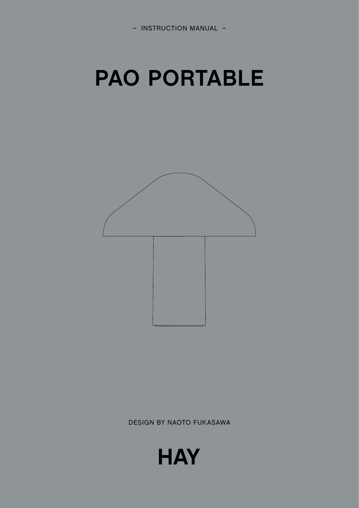

## **PAO PORTABLE**



DESIGN BY NAOTO FUKASAWA

**HAY**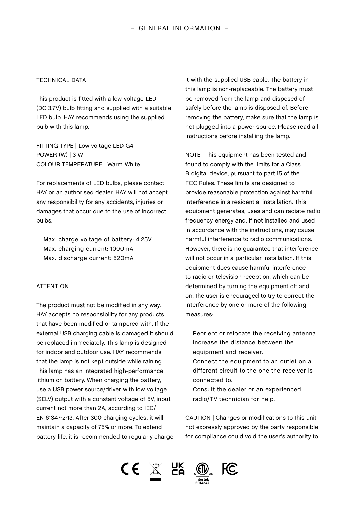## TECHNICAL DATA

This product is fitted with a low voltage LED (DC 3.7V) bulb fitting and supplied with a suitable LED bulb. HAY recommends using the supplied bulb with this lamp.

FITTING TYPE | Low voltage LED G4 POWER (W) | 3 W COLOUR TEMPERATURE | Warm White

For replacements of LED bulbs, please contact HAY or an authorised dealer. HAY will not accept any responsibility for any accidents, injuries or damages that occur due to the use of incorrect bulbs.

- ∆ Max. charge voltage of battery: 4.25V
- ∆ Max. charging current: 1000mA
- ∆ Max. discharge current: 520mA

## **ATTENTION**

The product must not be modified in any way. HAY accepts no responsibility for any products that have been modified or tampered with. If the external USB charging cable is damaged it should be replaced immediately. This lamp is designed for indoor and outdoor use. HAY recommends that the lamp is not kept outside while raining. This lamp has an integrated high-performance lithiumion battery. When charging the battery, use a USB power source/driver with low voltage (SELV) output with a constant voltage of 5V, input current not more than 2A, according to IEC/ EN 61347-2-13. After 300 charging cycles, it will maintain a capacity of 75% or more. To extend battery life, it is recommended to regularly charge

it with the supplied USB cable. The battery in this lamp is non-replaceable. The battery must be removed from the lamp and disposed of safely before the lamp is disposed of. Before removing the battery, make sure that the lamp is not plugged into a power source. Please read all instructions before installing the lamp.

NOTE | This equipment has been tested and found to comply with the limits for a Class B digital device, pursuant to part 15 of the FCC Rules. These limits are designed to provide reasonable protection against harmful interference in a residential installation. This equipment generates, uses and can radiate radio frequency energy and, if not installed and used in accordance with the instructions, may cause harmful interference to radio communications. However, there is no guarantee that interference will not occur in a particular installation. If this equipment does cause harmful interference to radio or television reception, which can be determined by turning the equipment off and on, the user is encouraged to try to correct the interference by one or more of the following measures:

- ∆ Reorient or relocate the receiving antenna.
- ∆ Increase the distance between the equipment and receiver.
- ∆ Connect the equipment to an outlet on a different circuit to the one the receiver is connected to.
- ∆ Consult the dealer or an experienced radio/TV technician for help.

CAUTION | Changes or modifications to this unit not expressly approved by the party responsible for compliance could void the user's authority to

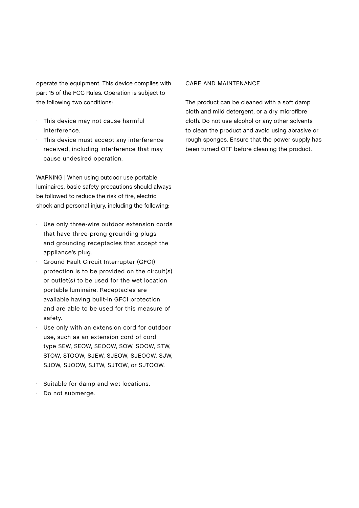operate the equipment. This device complies with part 15 of the FCC Rules. Operation is subject to the following two conditions:

- ∆ This device may not cause harmful interference.
- ∆ This device must accept any interference received, including interference that may cause undesired operation.

WARNING | When using outdoor use portable luminaires, basic safety precautions should always be followed to reduce the risk of fire, electric shock and personal injury, including the following:

- ∆ Use only three-wire outdoor extension cords that have three-prong grounding plugs and grounding receptacles that accept the appliance's plug.
- ∆ Ground Fault Circuit Interrupter (GFCI) protection is to be provided on the circuit(s) or outlet(s) to be used for the wet location portable luminaire. Receptacles are available having built-in GFCI protection and are able to be used for this measure of safety.
- ∆ Use only with an extension cord for outdoor use, such as an extension cord of cord type SEW, SEOW, SEOOW, SOW, SOOW, STW, STOW, STOOW, SJEW, SJEOW, SJEOOW, SJW, SJOW, SJOOW, SJTW, SJTOW, or SJTOOW.
- ∆ Suitable for damp and wet locations.
- ∆ Do not submerge.

## CARE AND MAINTENANCE

The product can be cleaned with a soft damp cloth and mild detergent, or a dry microfibre cloth. Do not use alcohol or any other solvents to clean the product and avoid using abrasive or rough sponges. Ensure that the power supply has been turned OFF before cleaning the product.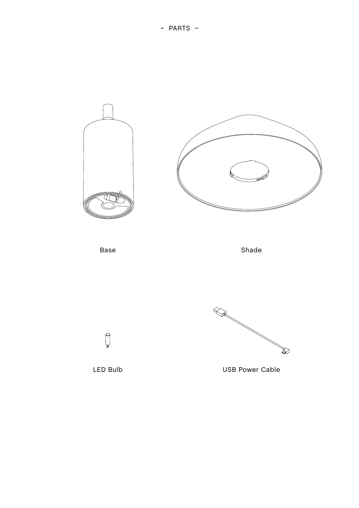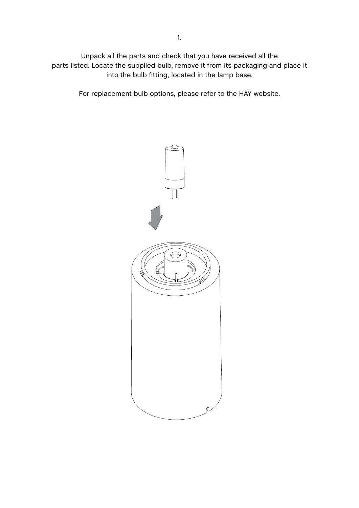Unpack all the parts and check that you have received all the parts listed. Locate the supplied bulb, remove it from its packaging and place it into the bulb fitting, located in the lamp base.

For replacement bulb options, please refer to the HAY website.

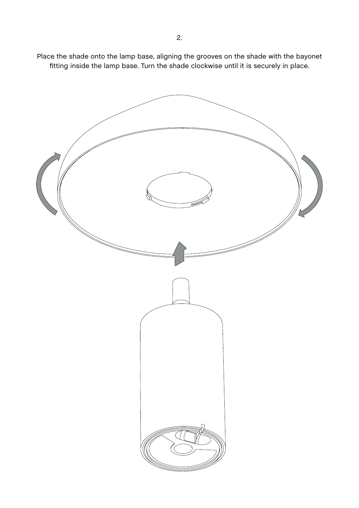Place the shade onto the lamp base, aligning the grooves on the shade with the bayonet fitting inside the lamp base. Turn the shade clockwise until it is securely in place.

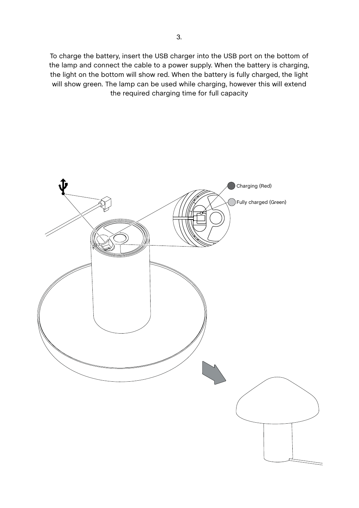To charge the battery, insert the USB charger into the USB port on the bottom of the lamp and connect the cable to a power supply. When the battery is charging, the light on the bottom will show red. When the battery is fully charged, the light will show green. The lamp can be used while charging, however this will extend the required charging time for full capacity

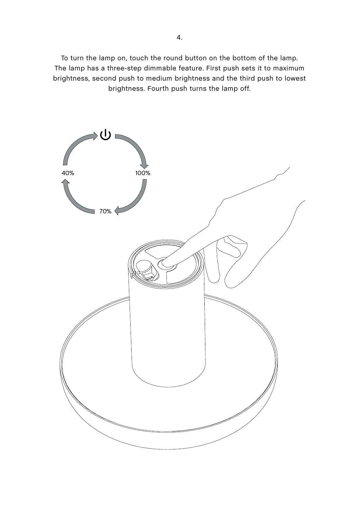To turn the lamp on, touch the round button on the bottom of the lamp. The lamp has a three-step dimmable feature. First push sets it to maximum brightness, second push to medium brightness and the third push to lowest brightness. Fourth push turns the lamp off.

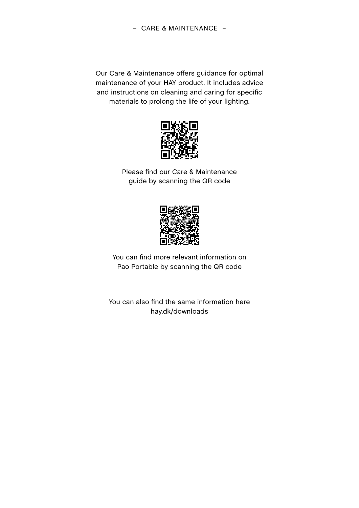Our Care & Maintenance offers guidance for optimal maintenance of your HAY product. It includes advice and instructions on cleaning and caring for specific materials to prolong the life of your lighting.



Please find our Care & Maintenance guide by scanning the QR code



You can find more relevant information on Pao Portable by scanning the QR code

You can also find the same information here [hay.dk/downloads](https://hay.dk/da-dk/downloads)